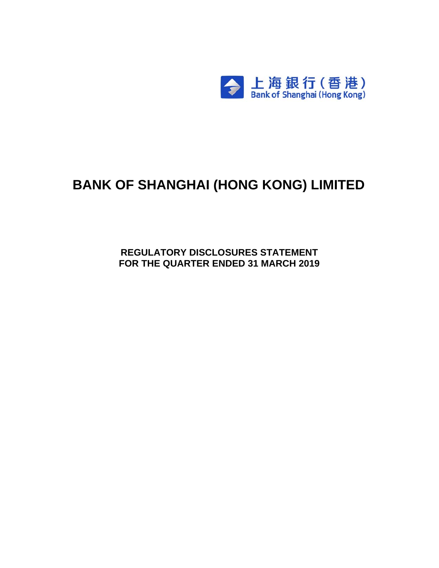

# **BANK OF SHANGHAI (HONG KONG) LIMITED**

**REGULATORY DISCLOSURES STATEMENT FOR THE QUARTER ENDED 31 MARCH 2019**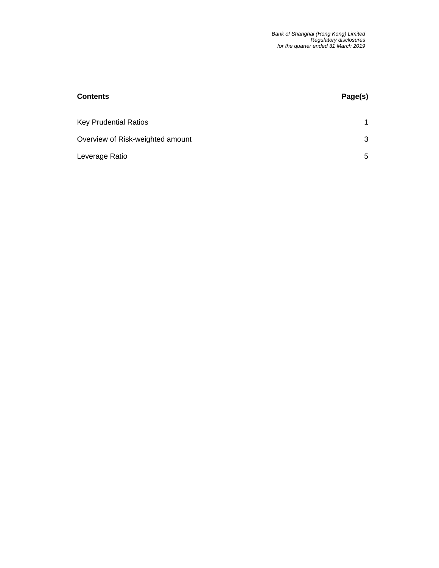| <b>Contents</b>                  | Page(s) |
|----------------------------------|---------|
| <b>Key Prudential Ratios</b>     |         |
| Overview of Risk-weighted amount | 3       |
| Leverage Ratio                   | 5       |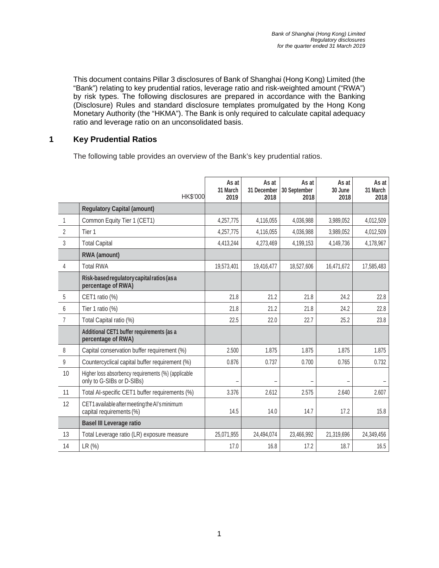This document contains Pillar 3 disclosures of Bank of Shanghai (Hong Kong) Limited (the "Bank") relating to key prudential ratios, leverage ratio and risk-weighted amount ("RWA") by risk types. The following disclosures are prepared in accordance with the Banking (Disclosure) Rules and standard disclosure templates promulgated by the Hong Kong Monetary Authority (the "HKMA"). The Bank is only required to calculate capital adequacy ratio and leverage ratio on an unconsolidated basis.

#### **1 Key Prudential Ratios**

The following table provides an overview of the Bank's key prudential ratios.

|                | HK\$'000                                                                         | As at<br>31 March<br>2019 | As at<br>31 December<br>2018 | As at<br>30 September<br>2018 | As at<br>30 June<br>2018 | As at<br>31 March<br>2018 |
|----------------|----------------------------------------------------------------------------------|---------------------------|------------------------------|-------------------------------|--------------------------|---------------------------|
|                | <b>Regulatory Capital (amount)</b>                                               |                           |                              |                               |                          |                           |
| $\mathbf{1}$   | Common Equity Tier 1 (CET1)                                                      | 4,257,775                 | 4,116,055                    | 4,036,988                     | 3,989,052                | 4,012,509                 |
| $\overline{2}$ | Tier 1                                                                           | 4,257,775                 | 4,116,055                    | 4,036,988                     | 3,989,052                | 4,012,509                 |
| 3              | <b>Total Capital</b>                                                             | 4,413,244                 | 4,273,469                    | 4,199,153                     | 4,149,736                | 4,178,967                 |
|                | RWA (amount)                                                                     |                           |                              |                               |                          |                           |
| 4              | <b>Total RWA</b>                                                                 | 19,573,401                | 19,416,477                   | 18,527,606                    | 16,471,672               | 17,585,483                |
|                | Risk-based regulatory capital ratios (as a<br>percentage of RWA)                 |                           |                              |                               |                          |                           |
| 5              | CET1 ratio (%)                                                                   | 21.8                      | 21.2                         | 21.8                          | 24.2                     | 22.8                      |
| 6              | Tier 1 ratio (%)                                                                 | 21.8                      | 21.2                         | 21.8                          | 24.2                     | 22.8                      |
| $\overline{7}$ | Total Capital ratio (%)                                                          | 22.5                      | 22.0                         | 22.7                          | 25.2                     | 23.8                      |
|                | Additional CET1 buffer requirements (as a<br>percentage of RWA)                  |                           |                              |                               |                          |                           |
| 8              | Capital conservation buffer requirement (%)                                      | 2.500                     | 1.875                        | 1.875                         | 1.875                    | 1.875                     |
| $\mathsf g$    | Countercyclical capital buffer requirement (%)                                   | 0.876                     | 0.737                        | 0.700                         | 0.765                    | 0.732                     |
| 10             | Higher loss absorbency requirements (%) (applicable<br>only to G-SIBs or D-SIBs) |                           |                              |                               |                          |                           |
| 11             | Total Al-specific CET1 buffer requirements (%)                                   | 3.376                     | 2.612                        | 2.575                         | 2.640                    | 2.607                     |
| 12             | CET1 available after meeting the AI's minimum<br>capital requirements (%)        | 14.5                      | 14.0                         | 14.7                          | 17.2                     | 15.8                      |
|                | <b>Basel III Leverage ratio</b>                                                  |                           |                              |                               |                          |                           |
| 13             | Total Leverage ratio (LR) exposure measure                                       | 25,071,955                | 24,494,074                   | 23,466,992                    | 21,319,696               | 24,349,456                |
| 14             | LR (%)                                                                           | 17.0                      | 16.8                         | 17.2                          | 18.7                     | 16.5                      |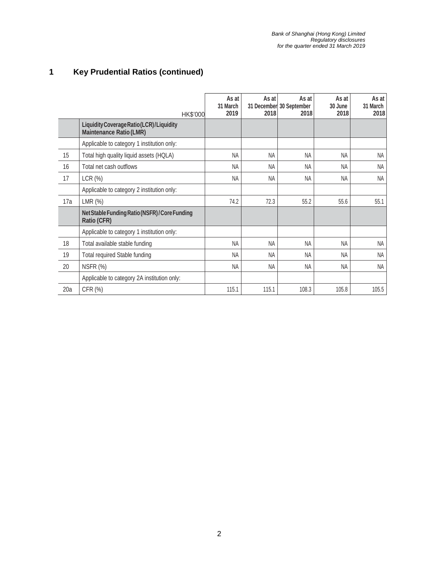## **1 Key Prudential Ratios (continued)**

|     | HK\$'000                                                                   | As at<br>31 March<br>2019 | As at<br>2018 | As at<br>31 December 30 September<br>2018 | As at<br>30 June<br>2018 | As at<br>31 March<br>2018 |
|-----|----------------------------------------------------------------------------|---------------------------|---------------|-------------------------------------------|--------------------------|---------------------------|
|     | Liquidity Coverage Ratio (LCR)/Liquidity<br><b>Maintenance Ratio (LMR)</b> |                           |               |                                           |                          |                           |
|     | Applicable to category 1 institution only:                                 |                           |               |                                           |                          |                           |
| 15  | Total high quality liquid assets (HQLA)                                    | <b>NA</b>                 | <b>NA</b>     | <b>NA</b>                                 | <b>NA</b>                | NA                        |
| 16  | Total net cash outflows                                                    | <b>NA</b>                 | <b>NA</b>     | <b>NA</b>                                 | <b>NA</b>                | <b>NA</b>                 |
| 17  | LCR (%)                                                                    | <b>NA</b>                 | <b>NA</b>     | <b>NA</b>                                 | <b>NA</b>                | <b>NA</b>                 |
|     | Applicable to category 2 institution only:                                 |                           |               |                                           |                          |                           |
| 17a | LMR(%)                                                                     | 74.2                      | 72.3          | 55.2                                      | 55.6                     | 55.1                      |
|     | Net Stable Funding Ratio (NSFR)/Core Funding<br>Ratio (CFR)                |                           |               |                                           |                          |                           |
|     | Applicable to category 1 institution only:                                 |                           |               |                                           |                          |                           |
| 18  | Total available stable funding                                             | <b>NA</b>                 | <b>NA</b>     | <b>NA</b>                                 | <b>NA</b>                | <b>NA</b>                 |
| 19  | Total required Stable funding                                              | <b>NA</b>                 | <b>NA</b>     | <b>NA</b>                                 | <b>NA</b>                | <b>NA</b>                 |
| 20  | NSFR (%)                                                                   | <b>NA</b>                 | <b>NA</b>     | <b>NA</b>                                 | <b>NA</b>                | NA                        |
|     | Applicable to category 2A institution only:                                |                           |               |                                           |                          |                           |
| 20a | CFR (%)                                                                    | 115.1                     | 115.1         | 108.3                                     | 105.8                    | 105.5                     |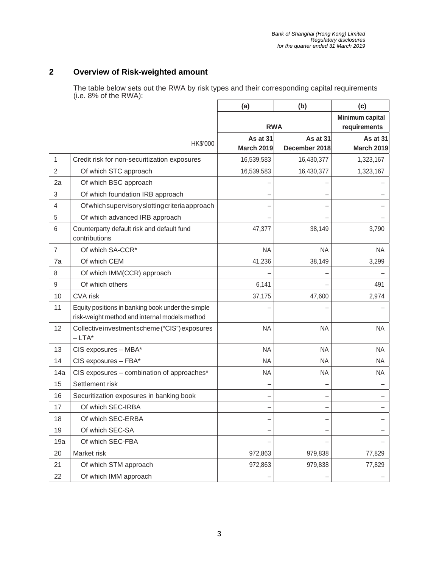#### **2 Overview of Risk-weighted amount**

The table below sets out the RWA by risk types and their corresponding capital requirements (i.e. 8% of the RWA):

|                |                                                                                                    | (a)                           | (b)                                    | (c)                           |
|----------------|----------------------------------------------------------------------------------------------------|-------------------------------|----------------------------------------|-------------------------------|
|                |                                                                                                    | <b>RWA</b>                    | <b>Minimum capital</b><br>requirements |                               |
|                | HK\$'000                                                                                           | As at 31<br><b>March 2019</b> | As at 31<br>December 2018              | As at 31<br><b>March 2019</b> |
| 1              | Credit risk for non-securitization exposures                                                       | 16,539,583                    | 16,430,377                             | 1,323,167                     |
| $\overline{2}$ | Of which STC approach                                                                              | 16,539,583                    | 16,430,377                             | 1,323,167                     |
| 2a             | Of which BSC approach                                                                              |                               |                                        |                               |
| 3              | Of which foundation IRB approach                                                                   |                               |                                        |                               |
| 4              | Of which supervisory slotting criteria approach                                                    |                               |                                        |                               |
| 5              | Of which advanced IRB approach                                                                     |                               |                                        |                               |
| 6              | Counterparty default risk and default fund<br>contributions                                        | 47,377                        | 38,149                                 | 3,790                         |
| $\overline{7}$ | Of which SA-CCR*                                                                                   | <b>NA</b>                     | <b>NA</b>                              | <b>NA</b>                     |
| 7a             | Of which CEM                                                                                       | 41,236                        | 38,149                                 | 3,299                         |
| 8              | Of which IMM(CCR) approach                                                                         |                               |                                        |                               |
| 9              | Of which others                                                                                    | 6,141                         |                                        | 491                           |
| 10             | <b>CVA</b> risk                                                                                    | 37,175                        | 47,600                                 | 2,974                         |
| 11             | Equity positions in banking book under the simple<br>risk-weight method and internal models method |                               |                                        |                               |
| 12             | Collective investment scheme ("CIS") exposures<br>$-LTA^*$                                         | <b>NA</b>                     | <b>NA</b>                              | <b>NA</b>                     |
| 13             | CIS exposures - MBA*                                                                               | <b>NA</b>                     | <b>NA</b>                              | <b>NA</b>                     |
| 14             | CIS exposures - FBA*                                                                               | <b>NA</b>                     | <b>NA</b>                              | <b>NA</b>                     |
| 14a            | CIS exposures - combination of approaches*                                                         | <b>NA</b>                     | <b>NA</b>                              | <b>NA</b>                     |
| 15             | Settlement risk                                                                                    |                               |                                        |                               |
| 16             | Securitization exposures in banking book                                                           | -                             |                                        |                               |
| 17             | Of which SEC-IRBA                                                                                  |                               |                                        |                               |
| 18             | Of which SEC-ERBA                                                                                  |                               |                                        |                               |
| 19             | Of which SEC-SA                                                                                    | -                             |                                        |                               |
| 19a            | Of which SEC-FBA                                                                                   |                               |                                        |                               |
| 20             | Market risk                                                                                        | 972,863                       | 979,838                                | 77,829                        |
| 21             | Of which STM approach                                                                              | 972,863                       | 979,838                                | 77,829                        |
| 22             | Of which IMM approach                                                                              |                               |                                        |                               |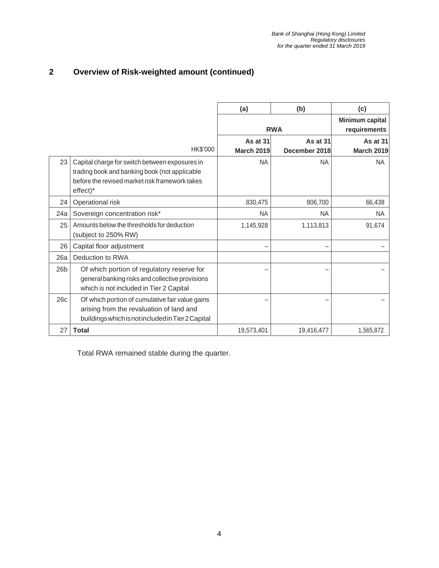#### **2 Overview of Risk-weighted amount (continued)**

|                 |                                                                                                                                                               | (a)                           | (b)                             | (c)                           |
|-----------------|---------------------------------------------------------------------------------------------------------------------------------------------------------------|-------------------------------|---------------------------------|-------------------------------|
|                 |                                                                                                                                                               | <b>RWA</b>                    | Minimum capital<br>requirements |                               |
|                 | HK\$'000                                                                                                                                                      | As at 31<br><b>March 2019</b> | As at 31<br>December 2018       | As at 31<br><b>March 2019</b> |
| 23              | Capital charge for switch between exposures in<br>trading book and banking book (not applicable<br>before the revised market risk framework takes<br>effect)* | <b>NA</b>                     | <b>NA</b>                       | <b>NA</b>                     |
| 24              | Operational risk                                                                                                                                              | 830,475                       | 806,700                         | 66,438                        |
| 24a             | Sovereign concentration risk*                                                                                                                                 | <b>NA</b>                     | <b>NA</b>                       | <b>NA</b>                     |
| 25              | Amounts below the thresholds for deduction<br>(subject to 250% RW)                                                                                            | 1,145,928                     | 1,113,813                       | 91,674                        |
| 26              | Capital floor adjustment                                                                                                                                      |                               |                                 |                               |
| 26a             | Deduction to RWA                                                                                                                                              |                               |                                 |                               |
| 26 <sub>b</sub> | Of which portion of regulatory reserve for<br>general banking risks and collective provisions<br>which is not included in Tier 2 Capital                      |                               |                                 |                               |
| 26c             | Of which portion of cumulative fair value gains<br>arising from the revaluation of land and<br>buildings which is not included in Tier 2 Capital              |                               |                                 |                               |
| 27              | <b>Total</b>                                                                                                                                                  | 19,573,401                    | 19,416,477                      | 1,565,872                     |

Total RWA remained stable during the quarter.